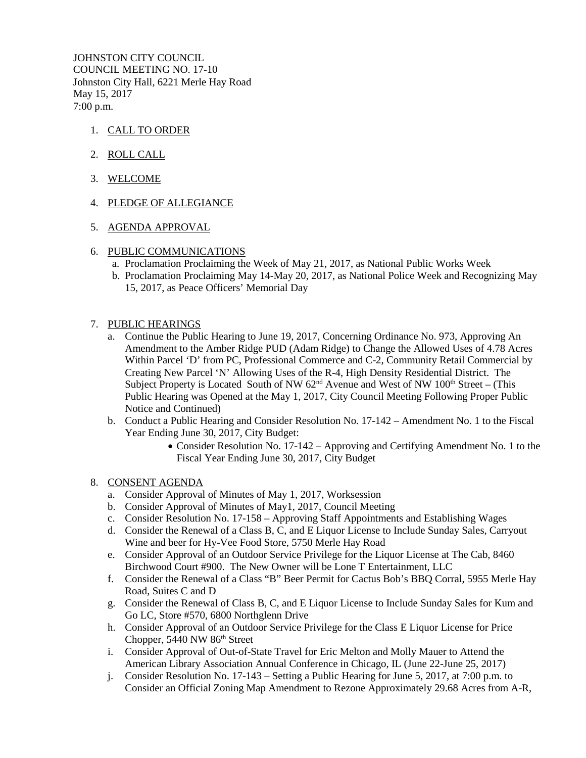JOHNSTON CITY COUNCIL COUNCIL MEETING NO. 17-10 Johnston City Hall, 6221 Merle Hay Road May 15, 2017 7:00 p.m.

- 1. CALL TO ORDER
- 2. ROLL CALL
- 3. WELCOME
- 4. PLEDGE OF ALLEGIANCE
- 5. AGENDA APPROVAL
- 6. PUBLIC COMMUNICATIONS
	- a. Proclamation Proclaiming the Week of May 21, 2017, as National Public Works Week
	- b. Proclamation Proclaiming May 14-May 20, 2017, as National Police Week and Recognizing May 15, 2017, as Peace Officers' Memorial Day
- 7. PUBLIC HEARINGS
	- a. Continue the Public Hearing to June 19, 2017, Concerning Ordinance No. 973, Approving An Amendment to the Amber Ridge PUD (Adam Ridge) to Change the Allowed Uses of 4.78 Acres Within Parcel 'D' from PC, Professional Commerce and C-2, Community Retail Commercial by Creating New Parcel 'N' Allowing Uses of the R-4, High Density Residential District. The Subject Property is Located South of NW  $62<sup>nd</sup>$  Avenue and West of NW  $100<sup>th</sup>$  Street – (This Public Hearing was Opened at the May 1, 2017, City Council Meeting Following Proper Public Notice and Continued)
	- b. Conduct a Public Hearing and Consider Resolution No. 17-142 Amendment No. 1 to the Fiscal Year Ending June 30, 2017, City Budget:
		- Consider Resolution No. 17-142 Approving and Certifying Amendment No. 1 to the Fiscal Year Ending June 30, 2017, City Budget
- 8. CONSENT AGENDA
	- a. Consider Approval of Minutes of May 1, 2017, Worksession
	- b. Consider Approval of Minutes of May1, 2017, Council Meeting
	- c. Consider Resolution No. 17-158 Approving Staff Appointments and Establishing Wages
	- d. Consider the Renewal of a Class B, C, and E Liquor License to Include Sunday Sales, Carryout Wine and beer for Hy-Vee Food Store, 5750 Merle Hay Road
	- e. Consider Approval of an Outdoor Service Privilege for the Liquor License at The Cab, 8460 Birchwood Court #900. The New Owner will be Lone T Entertainment, LLC
	- f. Consider the Renewal of a Class "B" Beer Permit for Cactus Bob's BBQ Corral, 5955 Merle Hay Road, Suites C and D
	- g. Consider the Renewal of Class B, C, and E Liquor License to Include Sunday Sales for Kum and Go LC, Store #570, 6800 Northglenn Drive
	- h. Consider Approval of an Outdoor Service Privilege for the Class E Liquor License for Price Chopper,  $5440$  NW  $86<sup>th</sup>$  Street
	- i. Consider Approval of Out-of-State Travel for Eric Melton and Molly Mauer to Attend the American Library Association Annual Conference in Chicago, IL (June 22-June 25, 2017)
	- j. Consider Resolution No. 17-143 Setting a Public Hearing for June 5, 2017, at 7:00 p.m. to Consider an Official Zoning Map Amendment to Rezone Approximately 29.68 Acres from A-R,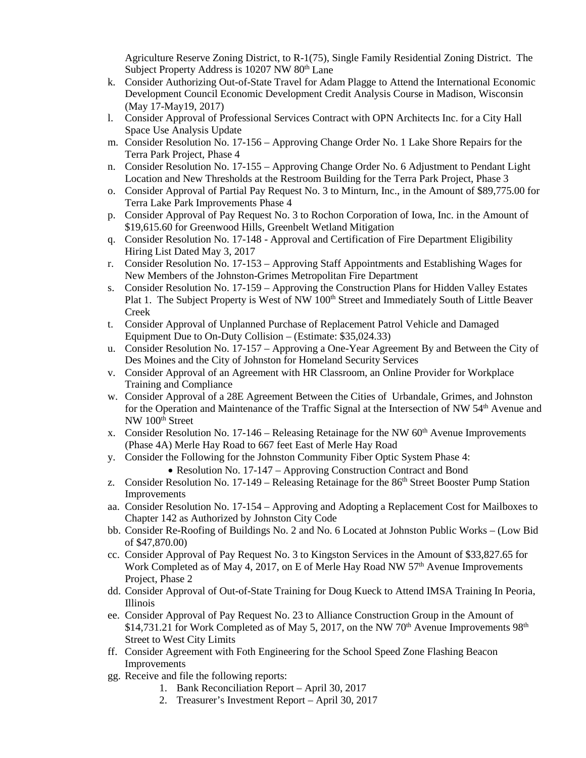Agriculture Reserve Zoning District, to R-1(75), Single Family Residential Zoning District. The Subject Property Address is 10207 NW 80<sup>th</sup> Lane

- k. Consider Authorizing Out-of-State Travel for Adam Plagge to Attend the International Economic Development Council Economic Development Credit Analysis Course in Madison, Wisconsin (May 17-May19, 2017)
- l. Consider Approval of Professional Services Contract with OPN Architects Inc. for a City Hall Space Use Analysis Update
- m. Consider Resolution No. 17-156 Approving Change Order No. 1 Lake Shore Repairs for the Terra Park Project, Phase 4
- n. Consider Resolution No. 17-155 Approving Change Order No. 6 Adjustment to Pendant Light Location and New Thresholds at the Restroom Building for the Terra Park Project, Phase 3
- o. Consider Approval of Partial Pay Request No. 3 to Minturn, Inc., in the Amount of \$89,775.00 for Terra Lake Park Improvements Phase 4
- p. Consider Approval of Pay Request No. 3 to Rochon Corporation of Iowa, Inc. in the Amount of \$19,615.60 for Greenwood Hills, Greenbelt Wetland Mitigation
- q. Consider Resolution No. 17-148 Approval and Certification of Fire Department Eligibility Hiring List Dated May 3, 2017
- r. Consider Resolution No. 17-153 Approving Staff Appointments and Establishing Wages for New Members of the Johnston-Grimes Metropolitan Fire Department
- s. Consider Resolution No. 17-159 Approving the Construction Plans for Hidden Valley Estates Plat 1. The Subject Property is West of NW 100<sup>th</sup> Street and Immediately South of Little Beaver Creek
- t. Consider Approval of Unplanned Purchase of Replacement Patrol Vehicle and Damaged Equipment Due to On-Duty Collision – (Estimate: \$35,024.33)
- u. Consider Resolution No. 17-157 Approving a One-Year Agreement By and Between the City of Des Moines and the City of Johnston for Homeland Security Services
- v. Consider Approval of an Agreement with HR Classroom, an Online Provider for Workplace Training and Compliance
- w. Consider Approval of a 28E Agreement Between the Cities of Urbandale, Grimes, and Johnston for the Operation and Maintenance of the Traffic Signal at the Intersection of NW 54<sup>th</sup> Avenue and NW 100<sup>th</sup> Street
- x. Consider Resolution No.  $17-146$  Releasing Retainage for the NW 60<sup>th</sup> Avenue Improvements (Phase 4A) Merle Hay Road to 667 feet East of Merle Hay Road
- y. Consider the Following for the Johnston Community Fiber Optic System Phase 4:
	- Resolution No. 17-147 Approving Construction Contract and Bond
- z. Consider Resolution No. 17-149 Releasing Retainage for the 86<sup>th</sup> Street Booster Pump Station Improvements
- aa. Consider Resolution No. 17-154 Approving and Adopting a Replacement Cost for Mailboxes to Chapter 142 as Authorized by Johnston City Code
- bb. Consider Re-Roofing of Buildings No. 2 and No. 6 Located at Johnston Public Works (Low Bid of \$47,870.00)
- cc. Consider Approval of Pay Request No. 3 to Kingston Services in the Amount of \$33,827.65 for Work Completed as of May 4, 2017, on E of Merle Hay Road NW  $57<sup>th</sup>$  Avenue Improvements Project, Phase 2
- dd. Consider Approval of Out-of-State Training for Doug Kueck to Attend IMSA Training In Peoria, Illinois
- ee. Consider Approval of Pay Request No. 23 to Alliance Construction Group in the Amount of  $$14,731.21$  for Work Completed as of May 5, 2017, on the NW 70<sup>th</sup> Avenue Improvements 98<sup>th</sup> Street to West City Limits
- ff. Consider Agreement with Foth Engineering for the School Speed Zone Flashing Beacon Improvements
- gg. Receive and file the following reports:
	- 1. Bank Reconciliation Report April 30, 2017
	- 2. Treasurer's Investment Report April 30, 2017